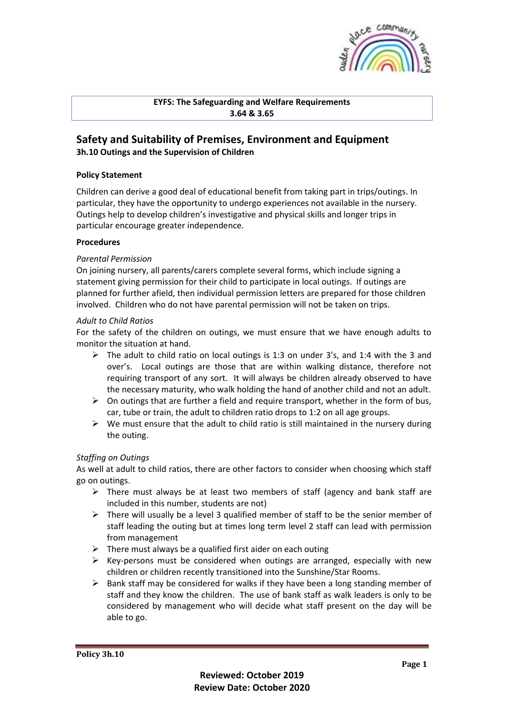

#### **EYFS: The Safeguarding and Welfare Requirements 3.64 & 3.65**

# **Safety and Suitability of Premises, Environment and Equipment 3h.10 Outings and the Supervision of Children**

#### **Policy Statement**

Children can derive a good deal of educational benefit from taking part in trips/outings. In particular, they have the opportunity to undergo experiences not available in the nursery. Outings help to develop children's investigative and physical skills and longer trips in particular encourage greater independence.

#### **Procedures**

#### *Parental Permission*

On joining nursery, all parents/carers complete several forms, which include signing a statement giving permission for their child to participate in local outings. If outings are planned for further afield, then individual permission letters are prepared for those children involved. Children who do not have parental permission will not be taken on trips.

#### *Adult to Child Ratios*

For the safety of the children on outings, we must ensure that we have enough adults to monitor the situation at hand.

- $\triangleright$  The adult to child ratio on local outings is 1:3 on under 3's, and 1:4 with the 3 and over's. Local outings are those that are within walking distance, therefore not requiring transport of any sort. It will always be children already observed to have the necessary maturity, who walk holding the hand of another child and not an adult.
- $\triangleright$  On outings that are further a field and require transport, whether in the form of bus, car, tube or train, the adult to children ratio drops to 1:2 on all age groups.
- $\triangleright$  We must ensure that the adult to child ratio is still maintained in the nursery during the outing.

#### *Staffing on Outings*

As well at adult to child ratios, there are other factors to consider when choosing which staff go on outings.

- $\triangleright$  There must always be at least two members of staff (agency and bank staff are included in this number, students are not)
- $\triangleright$  There will usually be a level 3 qualified member of staff to be the senior member of staff leading the outing but at times long term level 2 staff can lead with permission from management
- $\triangleright$  There must always be a qualified first aider on each outing
- $\triangleright$  Key-persons must be considered when outings are arranged, especially with new children or children recently transitioned into the Sunshine/Star Rooms.
- $\triangleright$  Bank staff may be considered for walks if they have been a long standing member of staff and they know the children. The use of bank staff as walk leaders is only to be considered by management who will decide what staff present on the day will be able to go.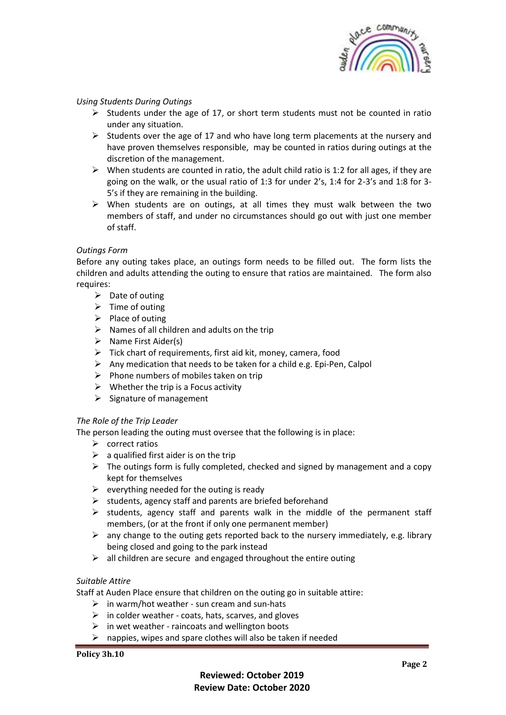

## *Using Students During Outings*

- $\triangleright$  Students under the age of 17, or short term students must not be counted in ratio under any situation.
- $\triangleright$  Students over the age of 17 and who have long term placements at the nursery and have proven themselves responsible, may be counted in ratios during outings at the discretion of the management.
- $\triangleright$  When students are counted in ratio, the adult child ratio is 1:2 for all ages, if they are going on the walk, or the usual ratio of 1:3 for under 2's, 1:4 for 2-3's and 1:8 for 3- 5's if they are remaining in the building.
- $\triangleright$  When students are on outings, at all times they must walk between the two members of staff, and under no circumstances should go out with just one member of staff.

#### *Outings Form*

Before any outing takes place, an outings form needs to be filled out. The form lists the children and adults attending the outing to ensure that ratios are maintained. The form also requires:

- $\triangleright$  Date of outing
- $\triangleright$  Time of outing
- ➢ Place of outing
- $\triangleright$  Names of all children and adults on the trip
- $\triangleright$  Name First Aider(s)
- $\triangleright$  Tick chart of requirements, first aid kit, money, camera, food
- $\triangleright$  Any medication that needs to be taken for a child e.g. Epi-Pen, Calpol
- ➢ Phone numbers of mobiles taken on trip
- $\triangleright$  Whether the trip is a Focus activity
- $\triangleright$  Signature of management

#### *The Role of the Trip Leader*

The person leading the outing must oversee that the following is in place:

- ➢ correct ratios
- $\triangleright$  a qualified first aider is on the trip
- $\triangleright$  The outings form is fully completed, checked and signed by management and a copy kept for themselves
- $\triangleright$  everything needed for the outing is ready
- $\triangleright$  students, agency staff and parents are briefed beforehand
- $\triangleright$  students, agency staff and parents walk in the middle of the permanent staff members, (or at the front if only one permanent member)
- $\triangleright$  any change to the outing gets reported back to the nursery immediately, e.g. library being closed and going to the park instead
- $\triangleright$  all children are secure and engaged throughout the entire outing

#### *Suitable Attire*

Staff at Auden Place ensure that children on the outing go in suitable attire:

- $\triangleright$  in warm/hot weather sun cream and sun-hats
- $\triangleright$  in colder weather coats, hats, scarves, and gloves
- $\triangleright$  in wet weather raincoats and wellington boots
- $\triangleright$  nappies, wipes and spare clothes will also be taken if needed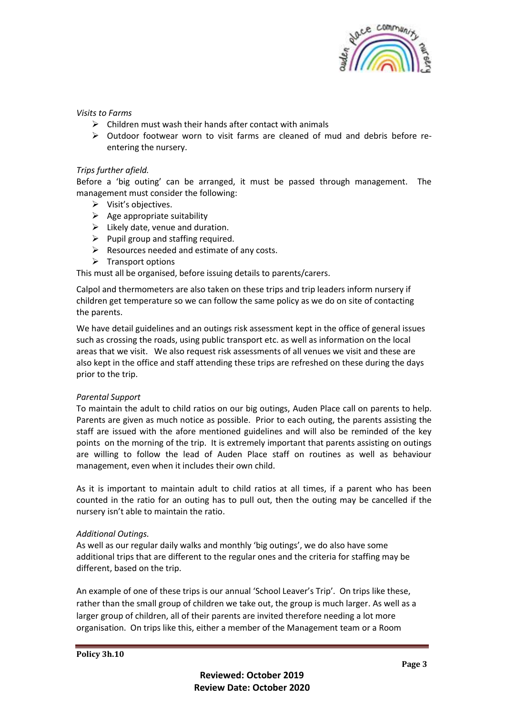

### *Visits to Farms*

- $\triangleright$  Children must wash their hands after contact with animals
- $\triangleright$  Outdoor footwear worn to visit farms are cleaned of mud and debris before reentering the nursery.

### *Trips further afield.*

Before a 'big outing' can be arranged, it must be passed through management. The management must consider the following:

- $\triangleright$  Visit's objectives.
- $\triangleright$  Age appropriate suitability
- $\triangleright$  Likely date, venue and duration.
- $\triangleright$  Pupil group and staffing required.
- $\triangleright$  Resources needed and estimate of any costs.
- ➢ Transport options

This must all be organised, before issuing details to parents/carers.

Calpol and thermometers are also taken on these trips and trip leaders inform nursery if children get temperature so we can follow the same policy as we do on site of contacting the parents.

We have detail guidelines and an outings risk assessment kept in the office of general issues such as crossing the roads, using public transport etc. as well as information on the local areas that we visit. We also request risk assessments of all venues we visit and these are also kept in the office and staff attending these trips are refreshed on these during the days prior to the trip.

#### *Parental Support*

To maintain the adult to child ratios on our big outings, Auden Place call on parents to help. Parents are given as much notice as possible. Prior to each outing, the parents assisting the staff are issued with the afore mentioned guidelines and will also be reminded of the key points on the morning of the trip. It is extremely important that parents assisting on outings are willing to follow the lead of Auden Place staff on routines as well as behaviour management, even when it includes their own child.

As it is important to maintain adult to child ratios at all times, if a parent who has been counted in the ratio for an outing has to pull out, then the outing may be cancelled if the nursery isn't able to maintain the ratio.

#### *Additional Outings.*

As well as our regular daily walks and monthly 'big outings', we do also have some additional trips that are different to the regular ones and the criteria for staffing may be different, based on the trip.

An example of one of these trips is our annual 'School Leaver's Trip'. On trips like these, rather than the small group of children we take out, the group is much larger. As well as a larger group of children, all of their parents are invited therefore needing a lot more organisation. On trips like this, either a member of the Management team or a Room